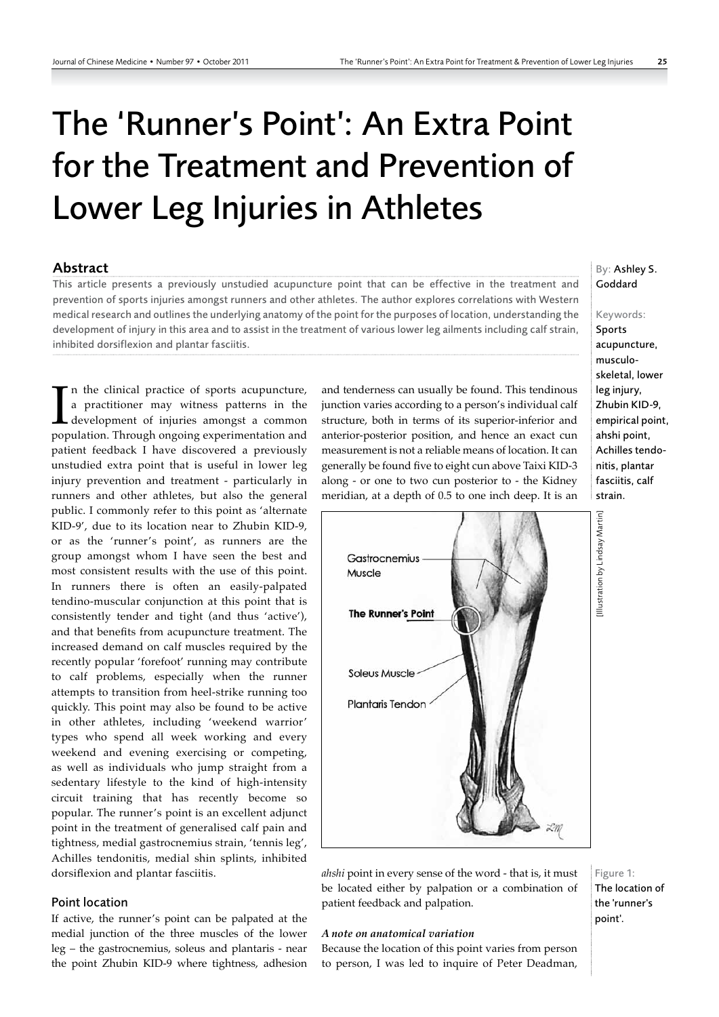# The 'Runner's Point': An Extra Point for the Treatment and Prevention of Lower Leg Injuries in Athletes

## Abstract

This article presents a previously unstudied acupuncture point that can be effective in the treatment and prevention of sports injuries amongst runners and other athletes. The author explores correlations with Western medical research and outlines the underlying anatomy of the point for the purposes of location, understanding the development of injury in this area and to assist in the treatment of various lower leg ailments including calf strain, inhibited dorsiflexion and plantar fasciitis.

In the clinical practice of sports acupuncture,<br>a practitioner may witness patterns in the<br>development of injuries amongst a common<br>population. Through ongoing experimentation and n the clinical practice of sports acupuncture, a practitioner may witness patterns in the development of injuries amongst a common patient feedback I have discovered a previously unstudied extra point that is useful in lower leg injury prevention and treatment ‑ particularly in runners and other athletes, but also the general public. I commonly refer to this point as 'alternate KID-9', due to its location near to Zhubin KID-9, or as the 'runner's point', as runners are the group amongst whom I have seen the best and most consistent results with the use of this point. In runners there is often an easily‑palpated tendino‑muscular conjunction at this point that is consistently tender and tight (and thus 'active'), and that benefits from acupuncture treatment. The increased demand on calf muscles required by the recently popular 'forefoot' running may contribute to calf problems, especially when the runner attempts to transition from heel‑strike running too quickly. This point may also be found to be active in other athletes, including 'weekend warrior' types who spend all week working and every weekend and evening exercising or competing, as well as individuals who jump straight from a sedentary lifestyle to the kind of high-intensity circuit training that has recently become so popular. The runner's point is an excellent adjunct point in the treatment of generalised calf pain and tightness, medial gastrocnemius strain, 'tennis leg', Achilles tendonitis, medial shin splints, inhibited dorsiflexion and plantar fasciitis.

#### Point location

If active, the runner's point can be palpated at the medial junction of the three muscles of the lower leg – the gastrocnemius, soleus and plantaris ‑ near the point Zhubin KID‑9 where tightness, adhesion and tenderness can usually be found. This tendinous junction varies according to a person's individual calf structure, both in terms of its superior‑inferior and anterior‑posterior position, and hence an exact cun measurement is not a reliable means of location. It can generally be found five to eight cun above Taixi KID‑3 along ‑ or one to two cun posterior to ‑ the Kidney meridian, at a depth of 0.5 to one inch deep. It is an



*ahshi* point in every sense of the word ‑ that is, it must be located either by palpation or a combination of patient feedback and palpation.

#### *A note on anatomical variation*

Because the location of this point varies from person to person, I was led to inquire of Peter Deadman,

# By: Ashley S. Goddard

# Keywords:

Sports acupuncture, musculoskeletal, lower leg injury, Zhubin KID-9, empirical point, ahshi point, Achilles tendonitis, plantar fasciitis, calf strain.

Figure 1: The location of the 'runner's point'.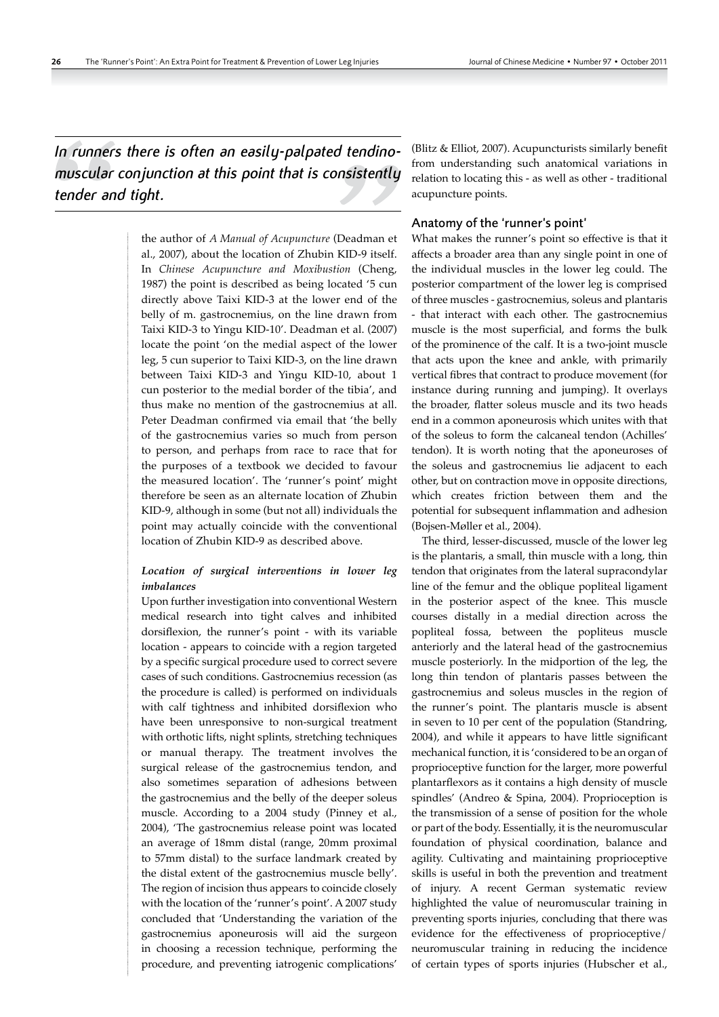*In runners there is often an easily-palpated tendinomuscular conjunction at this point that is consistently tender and tight.*

> the author of *A Manual of Acupuncture* (Deadman et al., 2007), about the location of Zhubin KID‑9 itself. In *Chinese Acupuncture and Moxibustion* (Cheng, 1987) the point is described as being located '5 cun directly above Taixi KID‑3 at the lower end of the belly of m. gastrocnemius, on the line drawn from Taixi KID‑3 to Yingu KID‑10'. Deadman et al. (2007) locate the point 'on the medial aspect of the lower leg, 5 cun superior to Taixi KID‑3, on the line drawn between Taixi KID‑3 and Yingu KID‑10, about 1 cun posterior to the medial border of the tibia', and thus make no mention of the gastrocnemius at all. Peter Deadman confirmed via email that 'the belly of the gastrocnemius varies so much from person to person, and perhaps from race to race that for the purposes of a textbook we decided to favour the measured location'. The 'runner's point' might therefore be seen as an alternate location of Zhubin KID‑9, although in some (but not all) individuals the point may actually coincide with the conventional location of Zhubin KID‑9 as described above.

#### *Location of surgical interventions in lower leg imbalances*

Upon further investigation into conventional Western medical research into tight calves and inhibited dorsiflexion, the runner's point ‑ with its variable location ‑ appears to coincide with a region targeted by a specific surgical procedure used to correct severe cases of such conditions. Gastrocnemius recession (as the procedure is called) is performed on individuals with calf tightness and inhibited dorsiflexion who have been unresponsive to non-surgical treatment with orthotic lifts, night splints, stretching techniques or manual therapy. The treatment involves the surgical release of the gastrocnemius tendon, and also sometimes separation of adhesions between the gastrocnemius and the belly of the deeper soleus muscle. According to a 2004 study (Pinney et al., 2004), 'The gastrocnemius release point was located an average of 18mm distal (range, 20mm proximal to 57mm distal) to the surface landmark created by the distal extent of the gastrocnemius muscle belly'. The region of incision thus appears to coincide closely with the location of the 'runner's point'. A 2007 study concluded that 'Understanding the variation of the gastrocnemius aponeurosis will aid the surgeon in choosing a recession technique, performing the procedure, and preventing iatrogenic complications'

(Blitz & Elliot, 2007). Acupuncturists similarly benefit from understanding such anatomical variations in relation to locating this ‑ as well as other ‑ traditional acupuncture points.

#### Anatomy of the 'runner's point'

What makes the runner's point so effective is that it affects a broader area than any single point in one of the individual muscles in the lower leg could. The posterior compartment of the lower leg is comprised of three muscles ‑ gastrocnemius, soleus and plantaris ‑ that interact with each other. The gastrocnemius muscle is the most superficial, and forms the bulk of the prominence of the calf. It is a two‑joint muscle that acts upon the knee and ankle, with primarily vertical fibres that contract to produce movement (for instance during running and jumping). It overlays the broader, flatter soleus muscle and its two heads end in a common aponeurosis which unites with that of the soleus to form the calcaneal tendon (Achilles' tendon). It is worth noting that the aponeuroses of the soleus and gastrocnemius lie adjacent to each other, but on contraction move in opposite directions, which creates friction between them and the potential for subsequent inflammation and adhesion (Bojsen‑Møller et al., 2004).

The third, lesser-discussed, muscle of the lower leg is the plantaris, a small, thin muscle with a long, thin tendon that originates from the lateral supracondylar line of the femur and the oblique popliteal ligament in the posterior aspect of the knee. This muscle courses distally in a medial direction across the popliteal fossa, between the popliteus muscle anteriorly and the lateral head of the gastrocnemius muscle posteriorly. In the midportion of the leg, the long thin tendon of plantaris passes between the gastrocnemius and soleus muscles in the region of the runner's point. The plantaris muscle is absent in seven to 10 per cent of the population (Standring, 2004), and while it appears to have little significant mechanical function, it is 'considered to be an organ of proprioceptive function for the larger, more powerful plantarflexors as it contains a high density of muscle spindles' (Andreo & Spina, 2004). Proprioception is the transmission of a sense of position for the whole or part of the body. Essentially, it is the neuromuscular foundation of physical coordination, balance and agility. Cultivating and maintaining proprioceptive skills is useful in both the prevention and treatment of injury. A recent German systematic review highlighted the value of neuromuscular training in preventing sports injuries, concluding that there was evidence for the effectiveness of proprioceptive/ neuromuscular training in reducing the incidence of certain types of sports injuries (Hubscher et al.,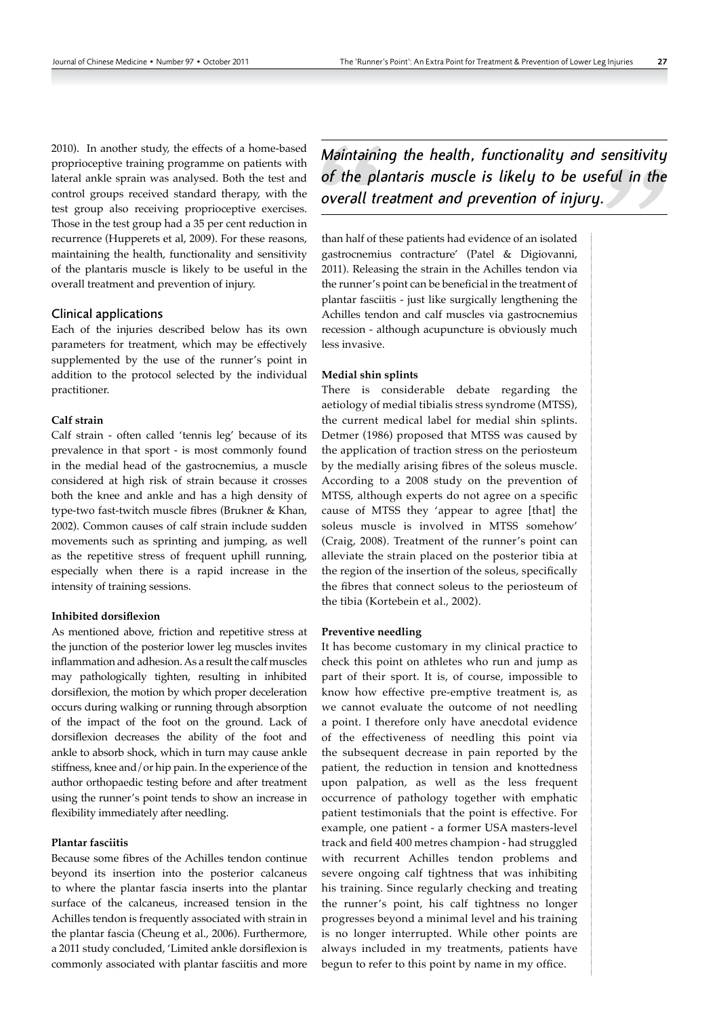2010). In another study, the effects of a home-based proprioceptive training programme on patients with lateral ankle sprain was analysed. Both the test and control groups received standard therapy, with the test group also receiving proprioceptive exercises. Those in the test group had a 35 per cent reduction in recurrence (Hupperets et al, 2009). For these reasons, maintaining the health, functionality and sensitivity of the plantaris muscle is likely to be useful in the overall treatment and prevention of injury.

#### Clinical applications

Each of the injuries described below has its own parameters for treatment, which may be effectively supplemented by the use of the runner's point in addition to the protocol selected by the individual practitioner.

#### **Calf strain**

Calf strain ‑ often called 'tennis leg' because of its prevalence in that sport ‑ is most commonly found in the medial head of the gastrocnemius, a muscle considered at high risk of strain because it crosses both the knee and ankle and has a high density of type-two fast-twitch muscle fibres (Brukner & Khan, 2002). Common causes of calf strain include sudden movements such as sprinting and jumping, as well as the repetitive stress of frequent uphill running, especially when there is a rapid increase in the intensity of training sessions.

#### **Inhibited dorsiflexion**

As mentioned above, friction and repetitive stress at the junction of the posterior lower leg muscles invites inflammation and adhesion. As a result the calf muscles may pathologically tighten, resulting in inhibited dorsiflexion, the motion by which proper deceleration occurs during walking or running through absorption of the impact of the foot on the ground. Lack of dorsiflexion decreases the ability of the foot and ankle to absorb shock, which in turn may cause ankle stiffness, knee and/or hip pain. In the experience of the author orthopaedic testing before and after treatment using the runner's point tends to show an increase in flexibility immediately after needling.

#### **Plantar fasciitis**

Because some fibres of the Achilles tendon continue beyond its insertion into the posterior calcaneus to where the plantar fascia inserts into the plantar surface of the calcaneus, increased tension in the Achilles tendon is frequently associated with strain in the plantar fascia (Cheung et al., 2006). Furthermore, a 2011 study concluded, 'Limited ankle dorsiflexion is commonly associated with plantar fasciitis and more *Maintaining the health, functionality and sensitivity of the plantaris muscle is likely to be useful in the overall treatment and prevention of injury.*

than half of these patients had evidence of an isolated gastrocnemius contracture' (Patel & Digiovanni, 2011). Releasing the strain in the Achilles tendon via the runner's point can be beneficial in the treatment of plantar fasciitis ‑ just like surgically lengthening the Achilles tendon and calf muscles via gastrocnemius recession ‑ although acupuncture is obviously much less invasive.

#### **Medial shin splints**

There is considerable debate regarding the aetiology of medial tibialis stress syndrome (MTSS), the current medical label for medial shin splints. Detmer (1986) proposed that MTSS was caused by the application of traction stress on the periosteum by the medially arising fibres of the soleus muscle. According to a 2008 study on the prevention of MTSS, although experts do not agree on a specific cause of MTSS they 'appear to agree [that] the soleus muscle is involved in MTSS somehow' (Craig, 2008). Treatment of the runner's point can alleviate the strain placed on the posterior tibia at the region of the insertion of the soleus, specifically the fibres that connect soleus to the periosteum of the tibia (Kortebein et al., 2002).

#### **Preventive needling**

It has become customary in my clinical practice to check this point on athletes who run and jump as part of their sport. It is, of course, impossible to know how effective pre‑emptive treatment is, as we cannot evaluate the outcome of not needling a point. I therefore only have anecdotal evidence of the effectiveness of needling this point via the subsequent decrease in pain reported by the patient, the reduction in tension and knottedness upon palpation, as well as the less frequent occurrence of pathology together with emphatic patient testimonials that the point is effective. For example, one patient ‑ a former USA masters‑level track and field 400 metres champion ‑ had struggled with recurrent Achilles tendon problems and severe ongoing calf tightness that was inhibiting his training. Since regularly checking and treating the runner's point, his calf tightness no longer progresses beyond a minimal level and his training is no longer interrupted. While other points are always included in my treatments, patients have begun to refer to this point by name in my office.